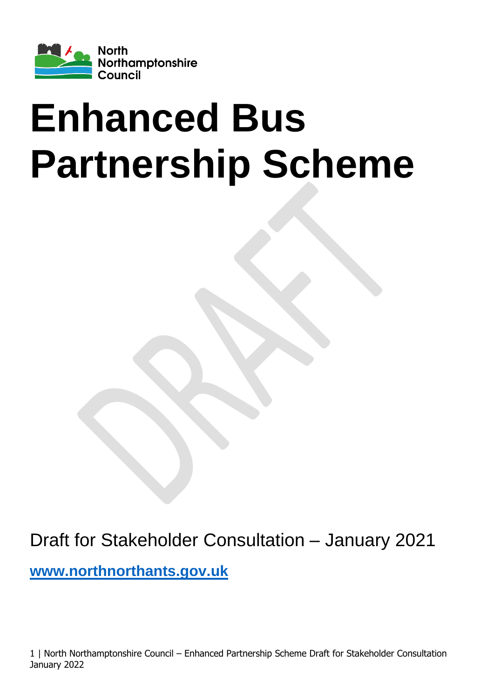

# <span id="page-0-1"></span><span id="page-0-0"></span>**Enhanced Bus Partnership Scheme**

<span id="page-0-3"></span><span id="page-0-2"></span>Draft for Stakeholder Consultation – January 2021 **[www.northnorthants.gov.uk](http://www.northnorthants.gov.uk/)**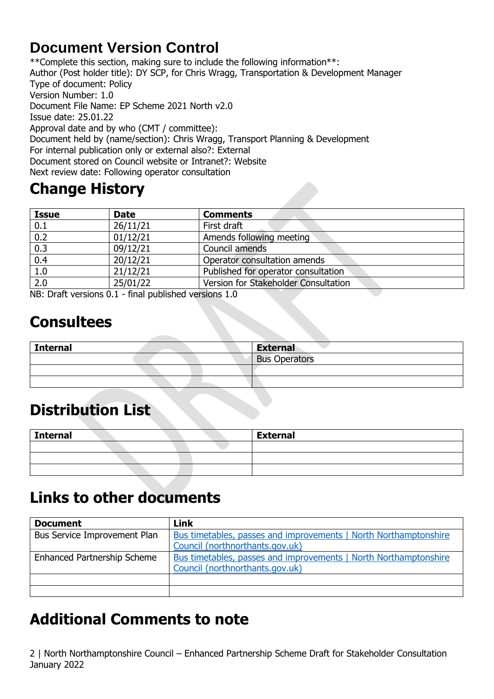## <span id="page-1-0"></span>**Document Version Control**

\*\*Complete this section, making sure to include the following information\*\*: Author (Post holder title): DY SCP, for Chris Wragg, Transportation & Development Manager Type of document: Policy Version Number: 1.0 Document File Name: EP Scheme 2021 North v2.0 Issue date: 25.01.22 Approval date and by who (CMT / committee): Document held by (name/section): Chris Wragg, Transport Planning & Development For internal publication only or external also?: External Document stored on Council website or Intranet?: Website Next review date: Following operator consultation

# <span id="page-1-1"></span>**Change History**

| <b>Issue</b> | <b>Date</b> | <b>Comments</b>                      |
|--------------|-------------|--------------------------------------|
| 0.1          | 26/11/21    | First draft                          |
| 0.2          | 01/12/21    | Amends following meeting             |
| 0.3          | 09/12/21    | Council amends                       |
| 0.4          | 20/12/21    | Operator consultation amends         |
| 1.0          | 21/12/21    | Published for operator consultation  |
| 2.0          | 25/01/22    | Version for Stakeholder Consultation |

NB: Draft versions 0.1 - final published versions 1.0

# <span id="page-1-2"></span>**Consultees**

| <b>Internal</b> | <b>External</b>      |
|-----------------|----------------------|
|                 | <b>Bus Operators</b> |
|                 |                      |
|                 |                      |

# <span id="page-1-3"></span>**Distribution List**

| <b>Internal</b> |  | <b>External</b> |
|-----------------|--|-----------------|
|                 |  |                 |
|                 |  |                 |
|                 |  |                 |

# <span id="page-1-4"></span>**Links to other documents**

| <b>Document</b>                    | <b>Link</b>                                                      |
|------------------------------------|------------------------------------------------------------------|
| Bus Service Improvement Plan       | Bus timetables, passes and improvements   North Northamptonshire |
|                                    | Council (northnorthants.gov.uk)                                  |
| <b>Enhanced Partnership Scheme</b> | Bus timetables, passes and improvements   North Northamptonshire |
|                                    | Council (northnorthants.gov.uk)                                  |
|                                    |                                                                  |
|                                    |                                                                  |

# <span id="page-1-5"></span>**Additional Comments to note**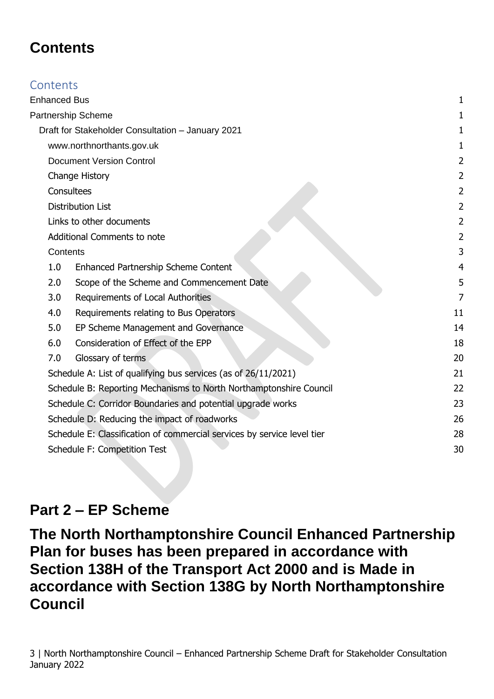## <span id="page-2-0"></span>**Contents**

| Contents |          |                                                                         |                |
|----------|----------|-------------------------------------------------------------------------|----------------|
|          |          | <b>Enhanced Bus</b>                                                     |                |
|          |          | Partnership Scheme                                                      |                |
|          |          | Draft for Stakeholder Consultation - January 2021                       |                |
|          |          | www.northnorthants.gov.uk                                               |                |
|          |          | <b>Document Version Control</b>                                         | 2              |
|          |          | Change History                                                          | 2              |
|          |          | Consultees                                                              | $\overline{c}$ |
|          |          | <b>Distribution List</b>                                                | $\overline{c}$ |
|          |          | Links to other documents                                                | $\overline{c}$ |
|          |          | Additional Comments to note                                             | 2              |
|          | Contents |                                                                         | 3              |
|          | 1.0      | Enhanced Partnership Scheme Content                                     |                |
|          | 2.0      | Scope of the Scheme and Commencement Date                               | 5              |
|          | 3.0      | Requirements of Local Authorities                                       | 7              |
|          | 4.0      | Requirements relating to Bus Operators                                  | 11             |
|          | 5.0      | EP Scheme Management and Governance                                     | 14             |
|          | 6.0      | Consideration of Effect of the EPP                                      | 18             |
|          | 7.0      | Glossary of terms                                                       | 20             |
|          |          | Schedule A: List of qualifying bus services (as of 26/11/2021)          | 21             |
|          |          | Schedule B: Reporting Mechanisms to North Northamptonshire Council      | 22             |
|          |          | Schedule C: Corridor Boundaries and potential upgrade works             | 23             |
|          |          | Schedule D: Reducing the impact of roadworks                            | 26             |
|          |          | Schedule E: Classification of commercial services by service level tier | 28             |
|          |          | <b>Schedule F: Competition Test</b>                                     | 30             |
|          |          |                                                                         |                |

## **Part 2 – EP Scheme**

**The North Northamptonshire Council Enhanced Partnership Plan for buses has been prepared in accordance with Section 138H of the Transport Act 2000 and is Made in accordance with Section 138G by North Northamptonshire Council**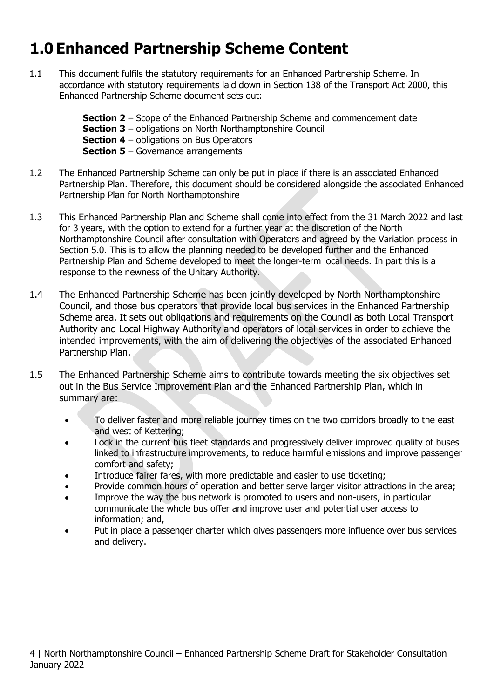# <span id="page-3-0"></span>**1.0 Enhanced Partnership Scheme Content**

1.1 This document fulfils the statutory requirements for an Enhanced Partnership Scheme. In accordance with statutory requirements laid down in Section 138 of the Transport Act 2000, this Enhanced Partnership Scheme document sets out:

> **Section 2** – Scope of the Enhanced Partnership Scheme and commencement date **Section 3** – obligations on North Northamptonshire Council **Section 4** – obligations on Bus Operators **Section 5** – Governance arrangements

- 1.2 The Enhanced Partnership Scheme can only be put in place if there is an associated Enhanced Partnership Plan. Therefore, this document should be considered alongside the associated Enhanced Partnership Plan for North Northamptonshire
- 1.3 This Enhanced Partnership Plan and Scheme shall come into effect from the 31 March 2022 and last for 3 years, with the option to extend for a further year at the discretion of the North Northamptonshire Council after consultation with Operators and agreed by the Variation process in Section 5.0. This is to allow the planning needed to be developed further and the Enhanced Partnership Plan and Scheme developed to meet the longer-term local needs. In part this is a response to the newness of the Unitary Authority.
- 1.4 The Enhanced Partnership Scheme has been jointly developed by North Northamptonshire Council, and those bus operators that provide local bus services in the Enhanced Partnership Scheme area. It sets out obligations and requirements on the Council as both Local Transport Authority and Local Highway Authority and operators of local services in order to achieve the intended improvements, with the aim of delivering the objectives of the associated Enhanced Partnership Plan.
- 1.5 The Enhanced Partnership Scheme aims to contribute towards meeting the six objectives set out in the Bus Service Improvement Plan and the Enhanced Partnership Plan, which in summary are:
	- To deliver faster and more reliable journey times on the two corridors broadly to the east and west of Kettering;
	- Lock in the current bus fleet standards and progressively deliver improved quality of buses linked to infrastructure improvements, to reduce harmful emissions and improve passenger comfort and safety;
	- Introduce fairer fares, with more predictable and easier to use ticketing;
	- Provide common hours of operation and better serve larger visitor attractions in the area;
	- Improve the way the bus network is promoted to users and non-users, in particular communicate the whole bus offer and improve user and potential user access to information; and,
	- Put in place a passenger charter which gives passengers more influence over bus services and delivery.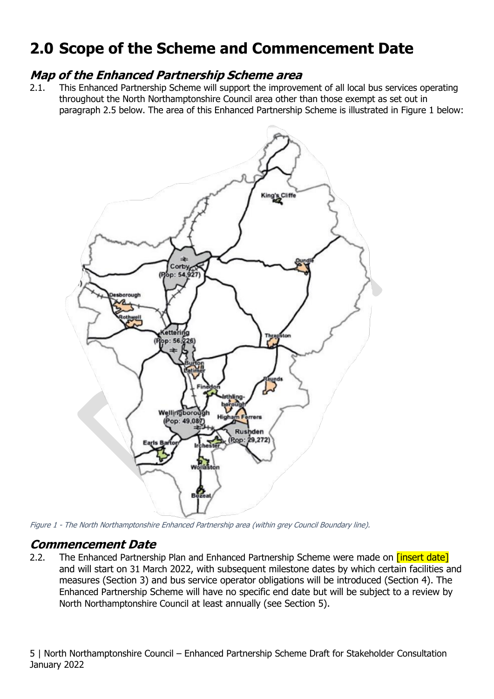# <span id="page-4-0"></span>**2.0 Scope of the Scheme and Commencement Date**

#### **Map of the Enhanced Partnership Scheme area**

2.1. This Enhanced Partnership Scheme will support the improvement of all local bus services operating throughout the North Northamptonshire Council area other than those exempt as set out in paragraph 2.5 below. The area of this Enhanced Partnership Scheme is illustrated in Figure 1 below:



Figure 1 - The North Northamptonshire Enhanced Partnership area (within grey Council Boundary line).

#### **Commencement Date**

2.2. The Enhanced Partnership Plan and Enhanced Partnership Scheme were made on *[insert date]* and will start on 31 March 2022, with subsequent milestone dates by which certain facilities and measures (Section 3) and bus service operator obligations will be introduced (Section 4). The Enhanced Partnership Scheme will have no specific end date but will be subject to a review by North Northamptonshire Council at least annually (see Section 5).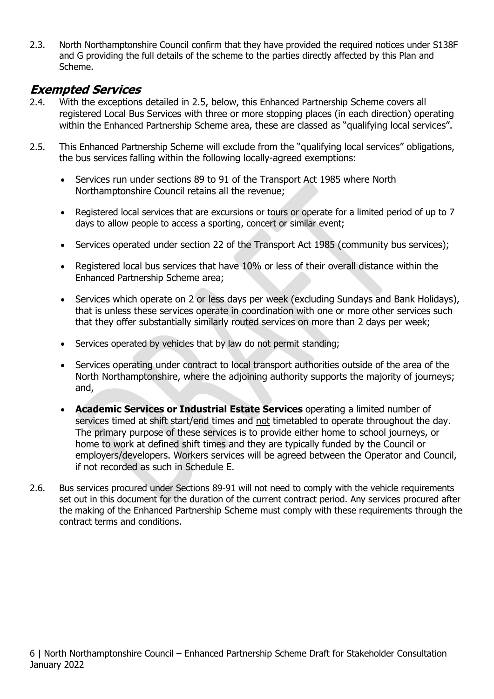2.3. North Northamptonshire Council confirm that they have provided the required notices under S138F and G providing the full details of the scheme to the parties directly affected by this Plan and Scheme.

#### **Exempted Services**

- 2.4. With the exceptions detailed in 2.5, below, this Enhanced Partnership Scheme covers all registered Local Bus Services with three or more stopping places (in each direction) operating within the Enhanced Partnership Scheme area, these are classed as "qualifying local services".
- 2.5. This Enhanced Partnership Scheme will exclude from the "qualifying local services" obligations, the bus services falling within the following locally-agreed exemptions:
	- Services run under sections 89 to 91 of the Transport Act 1985 where North Northamptonshire Council retains all the revenue;
	- Registered local services that are excursions or tours or operate for a limited period of up to 7 days to allow people to access a sporting, concert or similar event;
	- Services operated under section 22 of the Transport Act 1985 (community bus services);
	- Registered local bus services that have 10% or less of their overall distance within the Enhanced Partnership Scheme area;
	- Services which operate on 2 or less days per week (excluding Sundays and Bank Holidays), that is unless these services operate in coordination with one or more other services such that they offer substantially similarly routed services on more than 2 days per week;
	- Services operated by vehicles that by law do not permit standing;
	- Services operating under contract to local transport authorities outside of the area of the North Northamptonshire, where the adjoining authority supports the majority of journeys; and,
	- **Academic Services or Industrial Estate Services** operating a limited number of services timed at shift start/end times and not timetabled to operate throughout the day. The primary purpose of these services is to provide either home to school journeys, or home to work at defined shift times and they are typically funded by the Council or employers/developers. Workers services will be agreed between the Operator and Council, if not recorded as such in Schedule E.
- 2.6. Bus services procured under Sections 89-91 will not need to comply with the vehicle requirements set out in this document for the duration of the current contract period. Any services procured after the making of the Enhanced Partnership Scheme must comply with these requirements through the contract terms and conditions.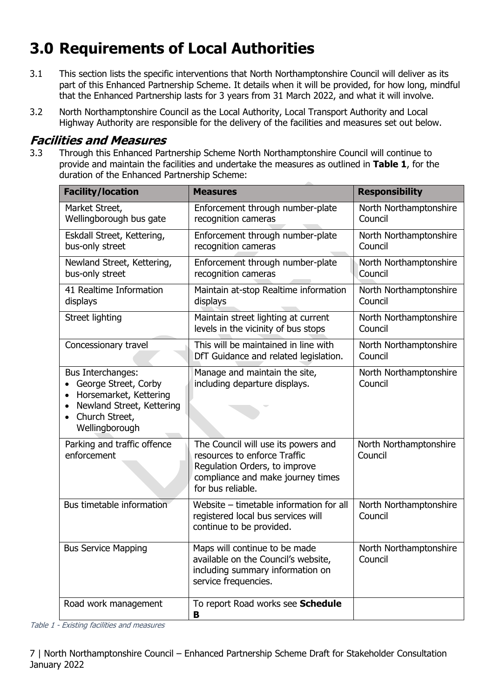# <span id="page-6-0"></span>**3.0 Requirements of Local Authorities**

- 3.1 This section lists the specific interventions that North Northamptonshire Council will deliver as its part of this Enhanced Partnership Scheme. It details when it will be provided, for how long, mindful that the Enhanced Partnership lasts for 3 years from 31 March 2022, and what it will involve.
- 3.2 North Northamptonshire Council as the Local Authority, Local Transport Authority and Local Highway Authority are responsible for the delivery of the facilities and measures set out below.

#### **Facilities and Measures**

3.3 Through this Enhanced Partnership Scheme North Northamptonshire Council will continue to provide and maintain the facilities and undertake the measures as outlined in **Table 1**, for the duration of the Enhanced Partnership Scheme:

| <b>Facility/location</b>                                                                                                                                       | <b>Measures</b>                                                                                                                                                | <b>Responsibility</b>             |
|----------------------------------------------------------------------------------------------------------------------------------------------------------------|----------------------------------------------------------------------------------------------------------------------------------------------------------------|-----------------------------------|
| Market Street,<br>Wellingborough bus gate                                                                                                                      | Enforcement through number-plate<br>recognition cameras                                                                                                        | North Northamptonshire<br>Council |
| Eskdall Street, Kettering,<br>bus-only street                                                                                                                  | Enforcement through number-plate<br>recognition cameras                                                                                                        | North Northamptonshire<br>Council |
| Newland Street, Kettering,<br>bus-only street                                                                                                                  | Enforcement through number-plate<br>recognition cameras                                                                                                        | North Northamptonshire<br>Council |
| 41 Realtime Information<br>displays                                                                                                                            | Maintain at-stop Realtime information<br>displays                                                                                                              | North Northamptonshire<br>Council |
| Street lighting                                                                                                                                                | Maintain street lighting at current<br>levels in the vicinity of bus stops                                                                                     | North Northamptonshire<br>Council |
| Concessionary travel                                                                                                                                           | This will be maintained in line with<br>DfT Guidance and related legislation.                                                                                  | North Northamptonshire<br>Council |
| Bus Interchanges:<br>George Street, Corby<br>Horsemarket, Kettering<br>$\bullet$<br>Newland Street, Kettering<br>Church Street,<br>$\bullet$<br>Wellingborough | Manage and maintain the site,<br>including departure displays.                                                                                                 | North Northamptonshire<br>Council |
| Parking and traffic offence<br>enforcement                                                                                                                     | The Council will use its powers and<br>resources to enforce Traffic<br>Regulation Orders, to improve<br>compliance and make journey times<br>for bus reliable. | North Northamptonshire<br>Council |
| Bus timetable information                                                                                                                                      | Website - timetable information for all<br>registered local bus services will<br>continue to be provided.                                                      | North Northamptonshire<br>Council |
| <b>Bus Service Mapping</b>                                                                                                                                     | Maps will continue to be made<br>available on the Council's website,<br>including summary information on<br>service frequencies.                               | North Northamptonshire<br>Council |
| Road work management                                                                                                                                           | To report Road works see Schedule<br>в                                                                                                                         |                                   |

Table 1 - Existing facilities and measures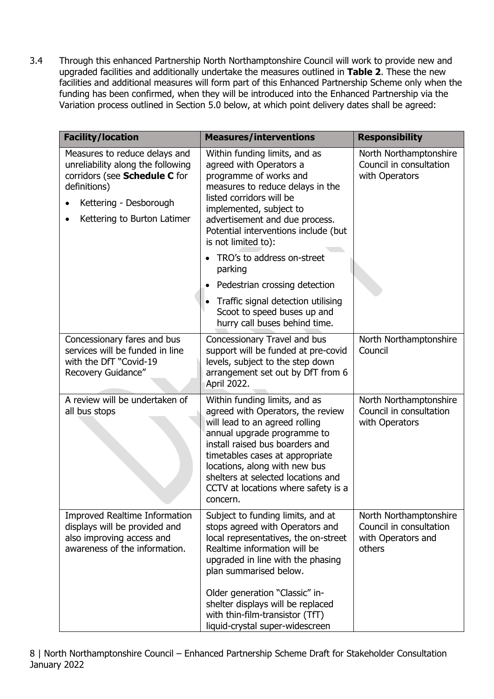3.4 Through this enhanced Partnership North Northamptonshire Council will work to provide new and upgraded facilities and additionally undertake the measures outlined in **Table 2**. These the new facilities and additional measures will form part of this Enhanced Partnership Scheme only when the funding has been confirmed, when they will be introduced into the Enhanced Partnership via the Variation process outlined in Section 5.0 below, at which point delivery dates shall be agreed:

| <b>Facility/location</b>                                                                                                                                                     | <b>Measures/interventions</b>                                                                                                                                                                                                                                                                                                                            | <b>Responsibility</b>                                                             |
|------------------------------------------------------------------------------------------------------------------------------------------------------------------------------|----------------------------------------------------------------------------------------------------------------------------------------------------------------------------------------------------------------------------------------------------------------------------------------------------------------------------------------------------------|-----------------------------------------------------------------------------------|
| Measures to reduce delays and<br>unreliability along the following<br>corridors (see Schedule C for<br>definitions)<br>Kettering - Desborough<br>Kettering to Burton Latimer | Within funding limits, and as<br>agreed with Operators a<br>programme of works and<br>measures to reduce delays in the<br>listed corridors will be<br>implemented, subject to<br>advertisement and due process.<br>Potential interventions include (but<br>is not limited to):                                                                           | North Northamptonshire<br>Council in consultation<br>with Operators               |
|                                                                                                                                                                              | TRO's to address on-street<br>parking                                                                                                                                                                                                                                                                                                                    |                                                                                   |
|                                                                                                                                                                              | Pedestrian crossing detection                                                                                                                                                                                                                                                                                                                            |                                                                                   |
|                                                                                                                                                                              | Traffic signal detection utilising<br>$\bullet$<br>Scoot to speed buses up and<br>hurry call buses behind time.                                                                                                                                                                                                                                          |                                                                                   |
| Concessionary fares and bus<br>services will be funded in line<br>with the DfT "Covid-19<br>Recovery Guidance"                                                               | Concessionary Travel and bus<br>support will be funded at pre-covid<br>levels, subject to the step down<br>arrangement set out by DfT from 6<br>April 2022.                                                                                                                                                                                              | North Northamptonshire<br>Council                                                 |
| A review will be undertaken of<br>all bus stops                                                                                                                              | Within funding limits, and as<br>agreed with Operators, the review<br>will lead to an agreed rolling<br>annual upgrade programme to<br>install raised bus boarders and<br>timetables cases at appropriate<br>locations, along with new bus<br>shelters at selected locations and<br>CCTV at locations where safety is a<br>concern.                      | North Northamptonshire<br>Council in consultation<br>with Operators               |
| <b>Improved Realtime Information</b><br>displays will be provided and<br>also improving access and<br>awareness of the information.                                          | Subject to funding limits, and at<br>stops agreed with Operators and<br>local representatives, the on-street<br>Realtime information will be<br>upgraded in line with the phasing<br>plan summarised below.<br>Older generation "Classic" in-<br>shelter displays will be replaced<br>with thin-film-transistor (TfT)<br>liquid-crystal super-widescreen | North Northamptonshire<br>Council in consultation<br>with Operators and<br>others |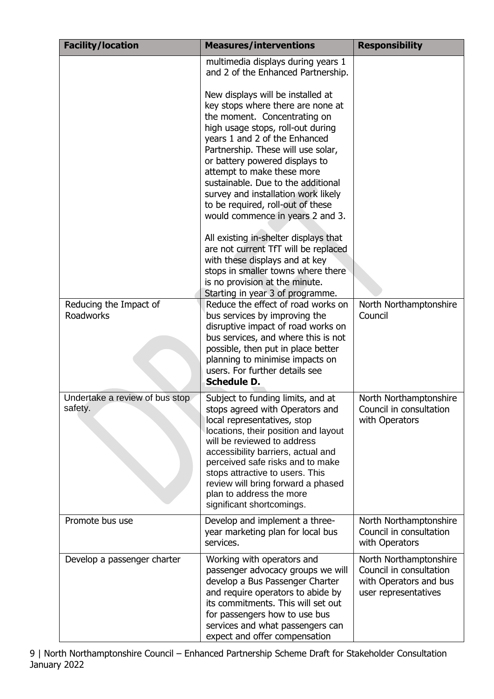| <b>Facility/location</b>                   | <b>Measures/interventions</b>                                                                                                                                                                                                                                                                                                                                                                                                            | <b>Responsibility</b>                                                                               |
|--------------------------------------------|------------------------------------------------------------------------------------------------------------------------------------------------------------------------------------------------------------------------------------------------------------------------------------------------------------------------------------------------------------------------------------------------------------------------------------------|-----------------------------------------------------------------------------------------------------|
|                                            | multimedia displays during years 1<br>and 2 of the Enhanced Partnership.                                                                                                                                                                                                                                                                                                                                                                 |                                                                                                     |
|                                            | New displays will be installed at<br>key stops where there are none at<br>the moment. Concentrating on<br>high usage stops, roll-out during<br>years 1 and 2 of the Enhanced<br>Partnership. These will use solar,<br>or battery powered displays to<br>attempt to make these more<br>sustainable. Due to the additional<br>survey and installation work likely<br>to be required, roll-out of these<br>would commence in years 2 and 3. |                                                                                                     |
|                                            | All existing in-shelter displays that<br>are not current TfT will be replaced<br>with these displays and at key<br>stops in smaller towns where there<br>is no provision at the minute.<br>Starting in year 3 of programme.                                                                                                                                                                                                              |                                                                                                     |
| Reducing the Impact of<br><b>Roadworks</b> | Reduce the effect of road works on<br>bus services by improving the<br>disruptive impact of road works on<br>bus services, and where this is not<br>possible, then put in place better<br>planning to minimise impacts on<br>users. For further details see<br><b>Schedule D.</b>                                                                                                                                                        | North Northamptonshire<br>Council                                                                   |
| Undertake a review of bus stop<br>safety.  | Subject to funding limits, and at<br>stops agreed with Operators and<br>local representatives, stop<br>locations, their position and layout<br>will be reviewed to address<br>accessibility barriers, actual and<br>perceived safe risks and to make<br>stops attractive to users. This<br>review will bring forward a phased<br>plan to address the more<br>significant shortcomings.                                                   | North Northamptonshire<br>Council in consultation<br>with Operators                                 |
| Promote bus use                            | Develop and implement a three-<br>year marketing plan for local bus<br>services.                                                                                                                                                                                                                                                                                                                                                         | North Northamptonshire<br>Council in consultation<br>with Operators                                 |
| Develop a passenger charter                | Working with operators and<br>passenger advocacy groups we will<br>develop a Bus Passenger Charter<br>and require operators to abide by<br>its commitments. This will set out<br>for passengers how to use bus<br>services and what passengers can<br>expect and offer compensation                                                                                                                                                      | North Northamptonshire<br>Council in consultation<br>with Operators and bus<br>user representatives |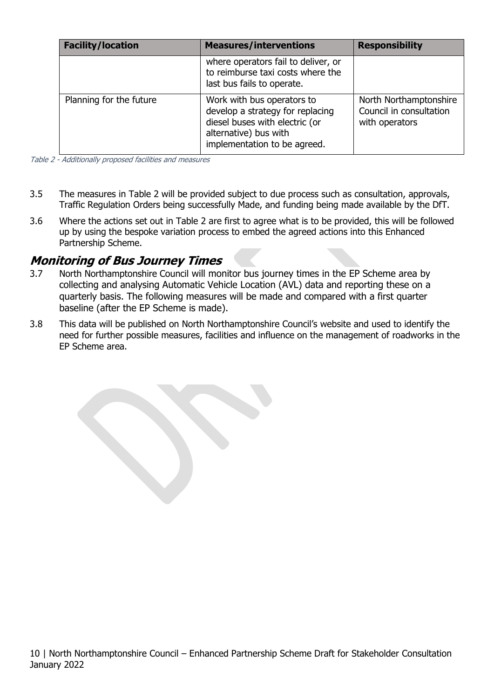| <b>Facility/location</b> | <b>Measures/interventions</b>                                                                                                                             | <b>Responsibility</b>                                               |
|--------------------------|-----------------------------------------------------------------------------------------------------------------------------------------------------------|---------------------------------------------------------------------|
|                          | where operators fail to deliver, or<br>to reimburse taxi costs where the<br>last bus fails to operate.                                                    |                                                                     |
| Planning for the future  | Work with bus operators to<br>develop a strategy for replacing<br>diesel buses with electric (or<br>alternative) bus with<br>implementation to be agreed. | North Northamptonshire<br>Council in consultation<br>with operators |

Table 2 - Additionally proposed facilities and measures

- 3.5 The measures in Table 2 will be provided subject to due process such as consultation, approvals, Traffic Regulation Orders being successfully Made, and funding being made available by the DfT.
- 3.6 Where the actions set out in Table 2 are first to agree what is to be provided, this will be followed up by using the bespoke variation process to embed the agreed actions into this Enhanced Partnership Scheme.

#### **Monitoring of Bus Journey Times**

- 3.7 North Northamptonshire Council will monitor bus journey times in the EP Scheme area by collecting and analysing Automatic Vehicle Location (AVL) data and reporting these on a quarterly basis. The following measures will be made and compared with a first quarter baseline (after the EP Scheme is made).
- 3.8 This data will be published on North Northamptonshire Council's website and used to identify the need for further possible measures, facilities and influence on the management of roadworks in the EP Scheme area.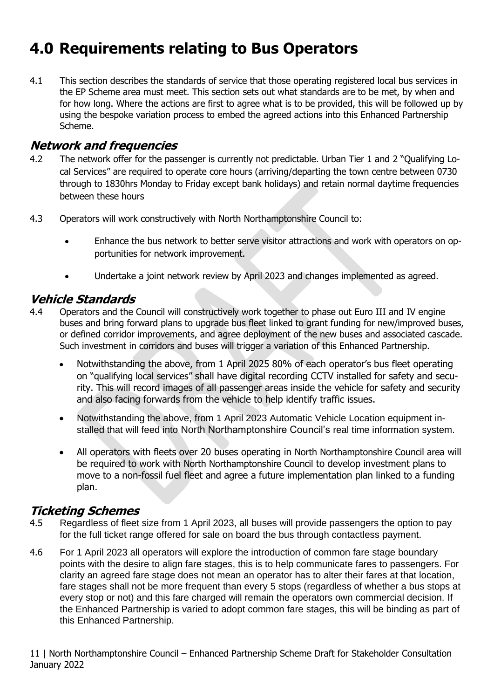# <span id="page-10-0"></span>**4.0 Requirements relating to Bus Operators**

4.1 This section describes the standards of service that those operating registered local bus services in the EP Scheme area must meet. This section sets out what standards are to be met, by when and for how long. Where the actions are first to agree what is to be provided, this will be followed up by using the bespoke variation process to embed the agreed actions into this Enhanced Partnership Scheme.

#### **Network and frequencies**

- 4.2 The network offer for the passenger is currently not predictable. Urban Tier 1 and 2 "Qualifying Local Services" are required to operate core hours (arriving/departing the town centre between 0730 through to 1830hrs Monday to Friday except bank holidays) and retain normal daytime frequencies between these hours
- 4.3 Operators will work constructively with North Northamptonshire Council to:
	- Enhance the bus network to better serve visitor attractions and work with operators on opportunities for network improvement.
	- Undertake a joint network review by April 2023 and changes implemented as agreed.

#### **Vehicle Standards**

- 4.4 Operators and the Council will constructively work together to phase out Euro III and IV engine buses and bring forward plans to upgrade bus fleet linked to grant funding for new/improved buses, or defined corridor improvements, and agree deployment of the new buses and associated cascade. Such investment in corridors and buses will trigger a variation of this Enhanced Partnership.
	- Notwithstanding the above, from 1 April 2025 80% of each operator's bus fleet operating on "qualifying local services" shall have digital recording CCTV installed for safety and security. This will record images of all passenger areas inside the vehicle for safety and security and also facing forwards from the vehicle to help identify traffic issues.
	- Notwithstanding the above, from 1 April 2023 Automatic Vehicle Location equipment installed that will feed into North Northamptonshire Council's real time information system.
	- All operators with fleets over 20 buses operating in North Northamptonshire Council area will be required to work with North Northamptonshire Council to develop investment plans to move to a non-fossil fuel fleet and agree a future implementation plan linked to a funding plan.

#### **Ticketing Schemes**

- 4.5 Regardless of fleet size from 1 April 2023, all buses will provide passengers the option to pay for the full ticket range offered for sale on board the bus through contactless payment.
- 4.6 For 1 April 2023 all operators will explore the introduction of common fare stage boundary points with the desire to align fare stages, this is to help communicate fares to passengers. For clarity an agreed fare stage does not mean an operator has to alter their fares at that location, fare stages shall not be more frequent than every 5 stops (regardless of whether a bus stops at every stop or not) and this fare charged will remain the operators own commercial decision. If the Enhanced Partnership is varied to adopt common fare stages, this will be binding as part of this Enhanced Partnership.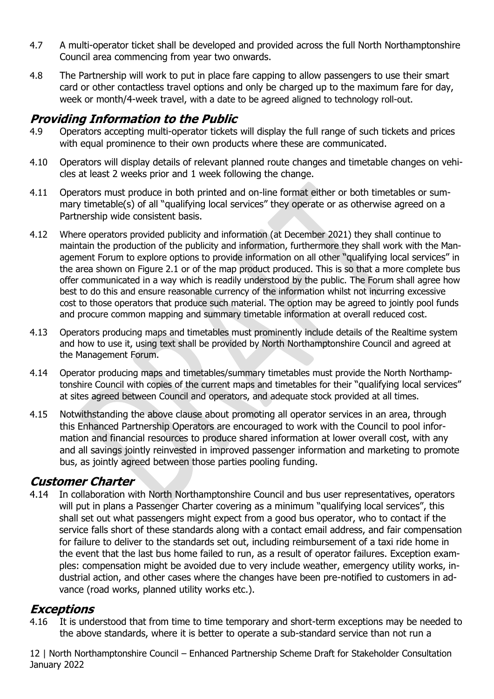- 4.7 A multi-operator ticket shall be developed and provided across the full North Northamptonshire Council area commencing from year two onwards.
- 4.8 The Partnership will work to put in place fare capping to allow passengers to use their smart card or other contactless travel options and only be charged up to the maximum fare for day, week or month/4-week travel, with a date to be agreed aligned to technology roll-out.

#### **Providing Information to the Public**

- 4.9 Operators accepting multi-operator tickets will display the full range of such tickets and prices with equal prominence to their own products where these are communicated.
- 4.10 Operators will display details of relevant planned route changes and timetable changes on vehicles at least 2 weeks prior and 1 week following the change.
- 4.11 Operators must produce in both printed and on-line format either or both timetables or summary timetable(s) of all "qualifying local services" they operate or as otherwise agreed on a Partnership wide consistent basis.
- 4.12 Where operators provided publicity and information (at December 2021) they shall continue to maintain the production of the publicity and information, furthermore they shall work with the Management Forum to explore options to provide information on all other "qualifying local services" in the area shown on Figure 2.1 or of the map product produced. This is so that a more complete bus offer communicated in a way which is readily understood by the public. The Forum shall agree how best to do this and ensure reasonable currency of the information whilst not incurring excessive cost to those operators that produce such material. The option may be agreed to jointly pool funds and procure common mapping and summary timetable information at overall reduced cost.
- 4.13 Operators producing maps and timetables must prominently include details of the Realtime system and how to use it, using text shall be provided by North Northamptonshire Council and agreed at the Management Forum.
- 4.14 Operator producing maps and timetables/summary timetables must provide the North Northamptonshire Council with copies of the current maps and timetables for their "qualifying local services" at sites agreed between Council and operators, and adequate stock provided at all times.
- 4.15 Notwithstanding the above clause about promoting all operator services in an area, through this Enhanced Partnership Operators are encouraged to work with the Council to pool information and financial resources to produce shared information at lower overall cost, with any and all savings jointly reinvested in improved passenger information and marketing to promote bus, as jointly agreed between those parties pooling funding.

#### **Customer Charter**

4.14 In collaboration with North Northamptonshire Council and bus user representatives, operators will put in plans a Passenger Charter covering as a minimum "qualifying local services", this shall set out what passengers might expect from a good bus operator, who to contact if the service falls short of these standards along with a contact email address, and fair compensation for failure to deliver to the standards set out, including reimbursement of a taxi ride home in the event that the last bus home failed to run, as a result of operator failures. Exception examples: compensation might be avoided due to very include weather, emergency utility works, industrial action, and other cases where the changes have been pre-notified to customers in advance (road works, planned utility works etc.).

### **Exceptions**

4.16 It is understood that from time to time temporary and short-term exceptions may be needed to the above standards, where it is better to operate a sub-standard service than not run a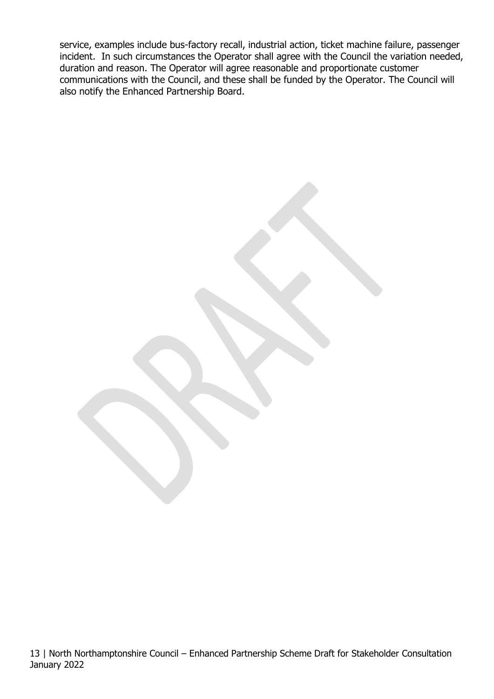service, examples include bus-factory recall, industrial action, ticket machine failure, passenger incident. In such circumstances the Operator shall agree with the Council the variation needed, duration and reason. The Operator will agree reasonable and proportionate customer communications with the Council, and these shall be funded by the Operator. The Council will also notify the Enhanced Partnership Board.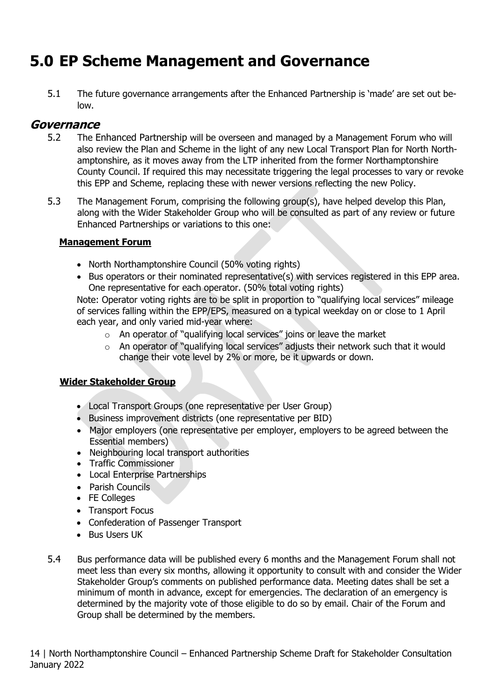## <span id="page-13-0"></span>**5.0 EP Scheme Management and Governance**

5.1 The future governance arrangements after the Enhanced Partnership is 'made' are set out below.

#### **Governance**

- 5.2 The Enhanced Partnership will be overseen and managed by a Management Forum who will also review the Plan and Scheme in the light of any new Local Transport Plan for North Northamptonshire, as it moves away from the LTP inherited from the former Northamptonshire County Council. If required this may necessitate triggering the legal processes to vary or revoke this EPP and Scheme, replacing these with newer versions reflecting the new Policy.
- 5.3 The Management Forum, comprising the following group(s), have helped develop this Plan. along with the Wider Stakeholder Group who will be consulted as part of any review or future Enhanced Partnerships or variations to this one:

#### **Management Forum**

- North Northamptonshire Council (50% voting rights)
- Bus operators or their nominated representative(s) with services registered in this EPP area. One representative for each operator. (50% total voting rights)

Note: Operator voting rights are to be split in proportion to "qualifying local services" mileage of services falling within the EPP/EPS, measured on a typical weekday on or close to 1 April each year, and only varied mid-year where:

- o An operator of "qualifying local services" joins or leave the market
- o An operator of "qualifying local services" adjusts their network such that it would change their vote level by 2% or more, be it upwards or down.

#### **Wider Stakeholder Group**

- Local Transport Groups (one representative per User Group)
- Business improvement districts (one representative per BID)
- Major employers (one representative per employer, employers to be agreed between the Essential members)
- Neighbouring local transport authorities
- Traffic Commissioner
- Local Enterprise Partnerships
- Parish Councils
- FE Colleges
- Transport Focus
- Confederation of Passenger Transport
- Bus Users UK
- 5.4 Bus performance data will be published every 6 months and the Management Forum shall not meet less than every six months, allowing it opportunity to consult with and consider the Wider Stakeholder Group's comments on published performance data. Meeting dates shall be set a minimum of month in advance, except for emergencies. The declaration of an emergency is determined by the majority vote of those eligible to do so by email. Chair of the Forum and Group shall be determined by the members.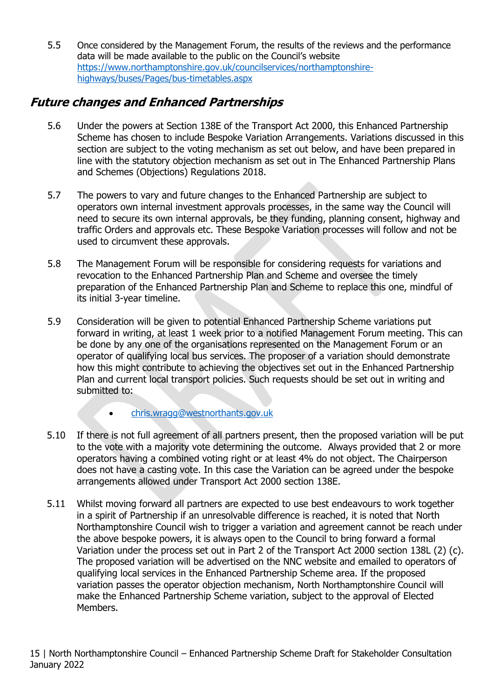5.5 Once considered by the Management Forum, the results of the reviews and the performance data will be made available to the public on the Council's website [https://www.northamptonshire.gov.uk/councilservices/northamptonshire](https://www.northamptonshire.gov.uk/councilservices/northamptonshire-highways/buses/Pages/bus-timetables.aspx)[highways/buses/Pages/bus-timetables.aspx](https://www.northamptonshire.gov.uk/councilservices/northamptonshire-highways/buses/Pages/bus-timetables.aspx)

## **Future changes and Enhanced Partnerships**

- 5.6 Under the powers at Section 138E of the Transport Act 2000, this Enhanced Partnership Scheme has chosen to include Bespoke Variation Arrangements. Variations discussed in this section are subject to the voting mechanism as set out below, and have been prepared in line with the statutory objection mechanism as set out in The Enhanced Partnership Plans and Schemes (Objections) Regulations 2018.
- 5.7 The powers to vary and future changes to the Enhanced Partnership are subject to operators own internal investment approvals processes, in the same way the Council will need to secure its own internal approvals, be they funding, planning consent, highway and traffic Orders and approvals etc. These Bespoke Variation processes will follow and not be used to circumvent these approvals.
- 5.8 The Management Forum will be responsible for considering requests for variations and revocation to the Enhanced Partnership Plan and Scheme and oversee the timely preparation of the Enhanced Partnership Plan and Scheme to replace this one, mindful of its initial 3-year timeline.
- 5.9 Consideration will be given to potential Enhanced Partnership Scheme variations put forward in writing, at least 1 week prior to a notified Management Forum meeting. This can be done by any one of the organisations represented on the Management Forum or an operator of qualifying local bus services. The proposer of a variation should demonstrate how this might contribute to achieving the objectives set out in the Enhanced Partnership Plan and current local transport policies. Such requests should be set out in writing and submitted to:
	- [chris.wragg@westnorthants.gov.uk](mailto:chris.wragg@westnorthants.gov.uk)
- 5.10 If there is not full agreement of all partners present, then the proposed variation will be put to the vote with a majority vote determining the outcome. Always provided that 2 or more operators having a combined voting right or at least 4% do not object. The Chairperson does not have a casting vote. In this case the Variation can be agreed under the bespoke arrangements allowed under Transport Act 2000 section 138E.
- 5.11 Whilst moving forward all partners are expected to use best endeavours to work together in a spirit of Partnership if an unresolvable difference is reached, it is noted that North Northamptonshire Council wish to trigger a variation and agreement cannot be reach under the above bespoke powers, it is always open to the Council to bring forward a formal Variation under the process set out in Part 2 of the Transport Act 2000 section 138L (2) (c). The proposed variation will be advertised on the NNC website and emailed to operators of qualifying local services in the Enhanced Partnership Scheme area. If the proposed variation passes the operator objection mechanism, North Northamptonshire Council will make the Enhanced Partnership Scheme variation, subject to the approval of Elected Members.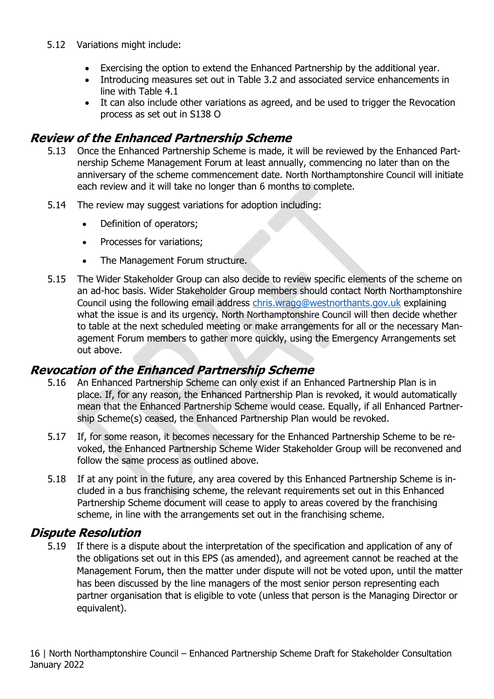- 5.12 Variations might include:
	- Exercising the option to extend the Enhanced Partnership by the additional year.
	- Introducing measures set out in Table 3.2 and associated service enhancements in line with Table 4.1
	- It can also include other variations as agreed, and be used to trigger the Revocation process as set out in S138 O

#### **Review of the Enhanced Partnership Scheme**

- 5.13 Once the Enhanced Partnership Scheme is made, it will be reviewed by the Enhanced Partnership Scheme Management Forum at least annually, commencing no later than on the anniversary of the scheme commencement date. North Northamptonshire Council will initiate each review and it will take no longer than 6 months to complete.
- 5.14 The review may suggest variations for adoption including:
	- Definition of operators;
	- Processes for variations;
	- The Management Forum structure.
- 5.15 The Wider Stakeholder Group can also decide to review specific elements of the scheme on an ad-hoc basis. Wider Stakeholder Group members should contact North Northamptonshire Council using the following email address [chris.wragg@westnorthants.gov.uk](mailto:chris.wragg@westnorthants.gov.uk) explaining what the issue is and its urgency. North Northamptonshire Council will then decide whether to table at the next scheduled meeting or make arrangements for all or the necessary Management Forum members to gather more quickly, using the Emergency Arrangements set out above.

#### **Revocation of the Enhanced Partnership Scheme**

- 5.16 An Enhanced Partnership Scheme can only exist if an Enhanced Partnership Plan is in place. If, for any reason, the Enhanced Partnership Plan is revoked, it would automatically mean that the Enhanced Partnership Scheme would cease. Equally, if all Enhanced Partnership Scheme(s) ceased, the Enhanced Partnership Plan would be revoked.
- 5.17 If, for some reason, it becomes necessary for the Enhanced Partnership Scheme to be revoked, the Enhanced Partnership Scheme Wider Stakeholder Group will be reconvened and follow the same process as outlined above.
- 5.18 If at any point in the future, any area covered by this Enhanced Partnership Scheme is included in a bus franchising scheme, the relevant requirements set out in this Enhanced Partnership Scheme document will cease to apply to areas covered by the franchising scheme, in line with the arrangements set out in the franchising scheme.

#### **Dispute Resolution**

5.19 If there is a dispute about the interpretation of the specification and application of any of the obligations set out in this EPS (as amended), and agreement cannot be reached at the Management Forum, then the matter under dispute will not be voted upon, until the matter has been discussed by the line managers of the most senior person representing each partner organisation that is eligible to vote (unless that person is the Managing Director or equivalent).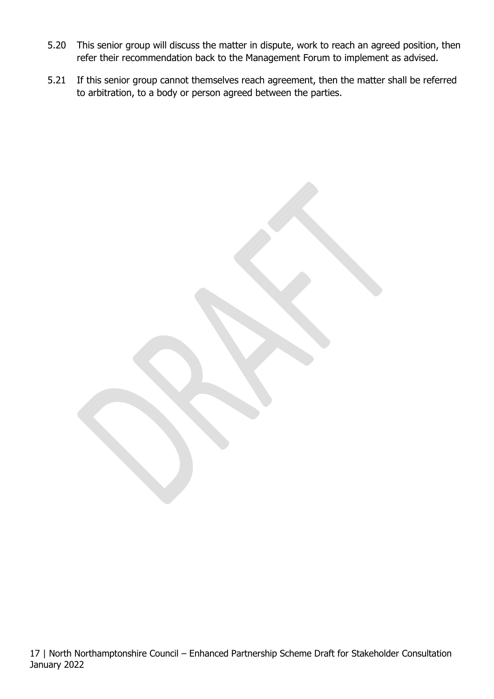- 5.20 This senior group will discuss the matter in dispute, work to reach an agreed position, then refer their recommendation back to the Management Forum to implement as advised.
- 5.21 If this senior group cannot themselves reach agreement, then the matter shall be referred to arbitration, to a body or person agreed between the parties.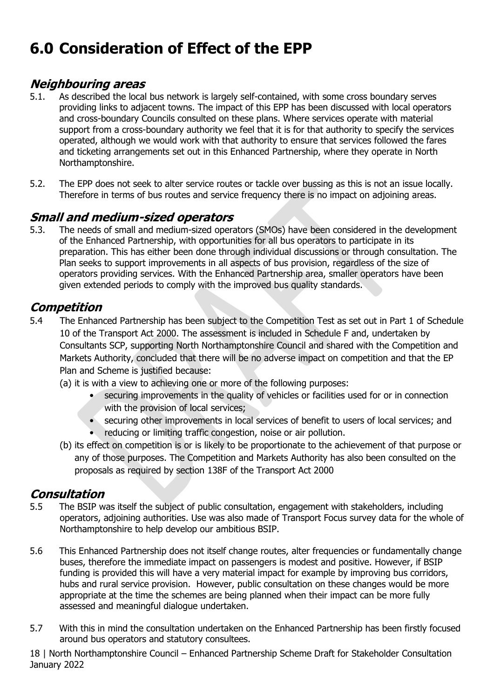# <span id="page-17-0"></span>**6.0 Consideration of Effect of the EPP**

### **Neighbouring areas**

- 5.1. As described the local bus network is largely self-contained, with some cross boundary serves providing links to adjacent towns. The impact of this EPP has been discussed with local operators and cross-boundary Councils consulted on these plans. Where services operate with material support from a cross-boundary authority we feel that it is for that authority to specify the services operated, although we would work with that authority to ensure that services followed the fares and ticketing arrangements set out in this Enhanced Partnership, where they operate in North Northamptonshire.
- 5.2. The EPP does not seek to alter service routes or tackle over bussing as this is not an issue locally. Therefore in terms of bus routes and service frequency there is no impact on adjoining areas.

#### **Small and medium-sized operators**

5.3. The needs of small and medium-sized operators (SMOs) have been considered in the development of the Enhanced Partnership, with opportunities for all bus operators to participate in its preparation. This has either been done through individual discussions or through consultation. The Plan seeks to support improvements in all aspects of bus provision, regardless of the size of operators providing services. With the Enhanced Partnership area, smaller operators have been given extended periods to comply with the improved bus quality standards.

### **Competition**

- 5.4 The Enhanced Partnership has been subject to the Competition Test as set out in Part 1 of Schedule 10 of the Transport Act 2000. The assessment is included in Schedule F and, undertaken by Consultants SCP, supporting North Northamptonshire Council and shared with the Competition and Markets Authority, concluded that there will be no adverse impact on competition and that the EP Plan and Scheme is justified because:
	- (a) it is with a view to achieving one or more of the following purposes:
		- securing improvements in the quality of vehicles or facilities used for or in connection with the provision of local services;
		- securing other improvements in local services of benefit to users of local services; and
		- reducing or limiting traffic congestion, noise or air pollution.
	- (b) its effect on competition is or is likely to be proportionate to the achievement of that purpose or any of those purposes. The Competition and Markets Authority has also been consulted on the proposals as required by section 138F of the Transport Act 2000

### **Consultation**

- 5.5 The BSIP was itself the subject of public consultation, engagement with stakeholders, including operators, adjoining authorities. Use was also made of Transport Focus survey data for the whole of Northamptonshire to help develop our ambitious BSIP.
- 5.6 This Enhanced Partnership does not itself change routes, alter frequencies or fundamentally change buses, therefore the immediate impact on passengers is modest and positive. However, if BSIP funding is provided this will have a very material impact for example by improving bus corridors, hubs and rural service provision. However, public consultation on these changes would be more appropriate at the time the schemes are being planned when their impact can be more fully assessed and meaningful dialogue undertaken.
- 5.7 With this in mind the consultation undertaken on the Enhanced Partnership has been firstly focused around bus operators and statutory consultees.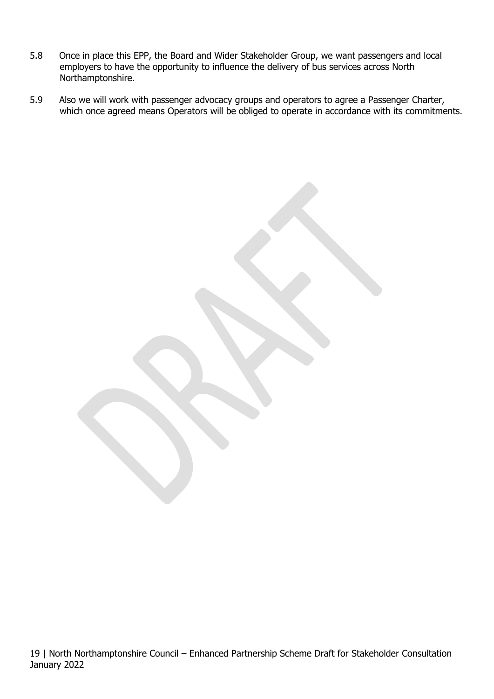- 5.8 Once in place this EPP, the Board and Wider Stakeholder Group, we want passengers and local employers to have the opportunity to influence the delivery of bus services across North Northamptonshire.
- 5.9 Also we will work with passenger advocacy groups and operators to agree a Passenger Charter, which once agreed means Operators will be obliged to operate in accordance with its commitments.

19 | North Northamptonshire Council – Enhanced Partnership Scheme Draft for Stakeholder Consultation January 2022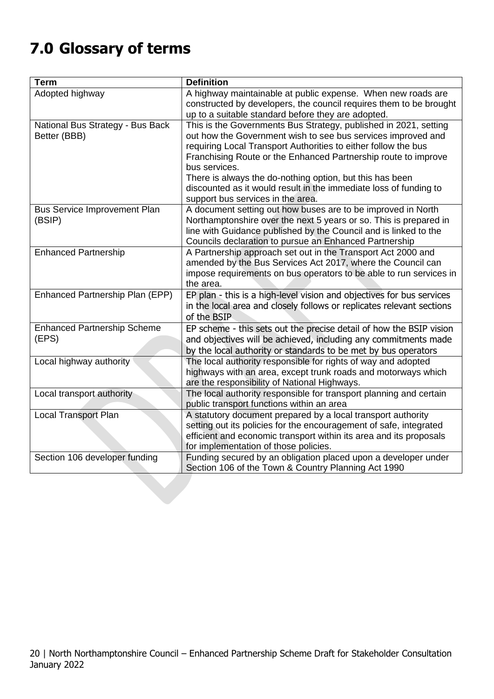# <span id="page-19-0"></span>**7.0 Glossary of terms**

| <b>Term</b>                         | <b>Definition</b>                                                                                               |  |
|-------------------------------------|-----------------------------------------------------------------------------------------------------------------|--|
| Adopted highway                     | A highway maintainable at public expense. When new roads are                                                    |  |
|                                     | constructed by developers, the council requires them to be brought                                              |  |
|                                     | up to a suitable standard before they are adopted.                                                              |  |
| National Bus Strategy - Bus Back    | This is the Governments Bus Strategy, published in 2021, setting                                                |  |
| Better (BBB)                        | out how the Government wish to see bus services improved and                                                    |  |
|                                     | requiring Local Transport Authorities to either follow the bus                                                  |  |
|                                     | Franchising Route or the Enhanced Partnership route to improve<br>bus services.                                 |  |
|                                     | There is always the do-nothing option, but this has been                                                        |  |
|                                     | discounted as it would result in the immediate loss of funding to                                               |  |
|                                     | support bus services in the area.                                                                               |  |
| <b>Bus Service Improvement Plan</b> | A document setting out how buses are to be improved in North                                                    |  |
| (BSIP)                              | Northamptonshire over the next 5 years or so. This is prepared in                                               |  |
|                                     | line with Guidance published by the Council and is linked to the                                                |  |
|                                     | Councils declaration to pursue an Enhanced Partnership                                                          |  |
| <b>Enhanced Partnership</b>         | A Partnership approach set out in the Transport Act 2000 and                                                    |  |
|                                     | amended by the Bus Services Act 2017, where the Council can                                                     |  |
|                                     | impose requirements on bus operators to be able to run services in                                              |  |
|                                     | the area.                                                                                                       |  |
| Enhanced Partnership Plan (EPP)     | EP plan - this is a high-level vision and objectives for bus services                                           |  |
|                                     | in the local area and closely follows or replicates relevant sections                                           |  |
|                                     | of the BSIP                                                                                                     |  |
| <b>Enhanced Partnership Scheme</b>  | EP scheme - this sets out the precise detail of how the BSIP vision                                             |  |
| (EPS)                               | and objectives will be achieved, including any commitments made                                                 |  |
|                                     | by the local authority or standards to be met by bus operators                                                  |  |
| Local highway authority             | The local authority responsible for rights of way and adopted                                                   |  |
|                                     | highways with an area, except trunk roads and motorways which                                                   |  |
|                                     | are the responsibility of National Highways.                                                                    |  |
| Local transport authority           | The local authority responsible for transport planning and certain<br>public transport functions within an area |  |
| <b>Local Transport Plan</b>         | A statutory document prepared by a local transport authority                                                    |  |
|                                     | setting out its policies for the encouragement of safe, integrated                                              |  |
|                                     | efficient and economic transport within its area and its proposals                                              |  |
|                                     | for implementation of those policies.                                                                           |  |
| Section 106 developer funding       | Funding secured by an obligation placed upon a developer under                                                  |  |
|                                     | Section 106 of the Town & Country Planning Act 1990                                                             |  |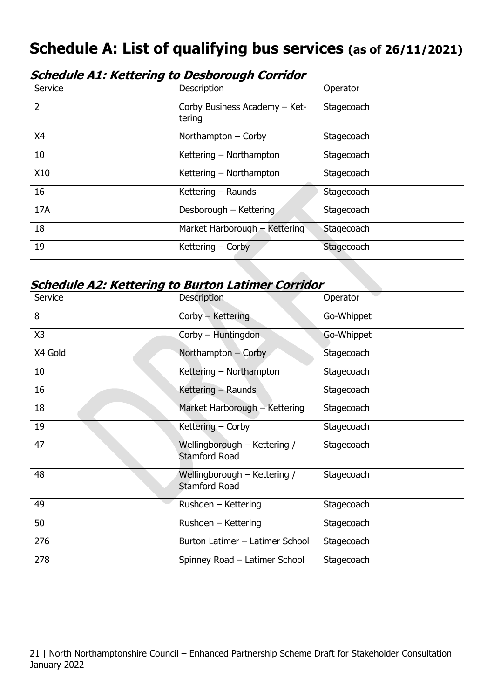## <span id="page-20-0"></span>**Schedule A: List of qualifying bus services (as of 26/11/2021)**

| <b>Schedule A1: Kettering to Desborough Corridor</b> |  |  |  |
|------------------------------------------------------|--|--|--|
|------------------------------------------------------|--|--|--|

| Service        | Description                             | Operator   |
|----------------|-----------------------------------------|------------|
| $\overline{2}$ | Corby Business Academy - Ket-<br>tering | Stagecoach |
| X4             | Northampton - Corby                     | Stagecoach |
| 10             | Kettering - Northampton                 | Stagecoach |
| X10            | Kettering - Northampton                 | Stagecoach |
| 16             | Kettering - Raunds                      | Stagecoach |
| 17A            | Desborough - Kettering                  | Stagecoach |
| 18             | Market Harborough - Kettering           | Stagecoach |
| 19             | Kettering – Corby                       | Stagecoach |

#### **Schedule A2: Kettering to Burton Latimer Corridor**

| Service | <b>Description</b>                                   | Operator   |
|---------|------------------------------------------------------|------------|
| 8       | Corby - Kettering                                    | Go-Whippet |
| X3      | Corby - Huntingdon                                   | Go-Whippet |
| X4 Gold | Northampton - Corby                                  | Stagecoach |
| 10      | Kettering - Northampton                              | Stagecoach |
| 16      | Kettering - Raunds                                   | Stagecoach |
| 18      | Market Harborough - Kettering                        | Stagecoach |
| 19      | Kettering - Corby                                    | Stagecoach |
| 47      | Wellingborough - Kettering /<br><b>Stamford Road</b> | Stagecoach |
| 48      | Wellingborough - Kettering /<br><b>Stamford Road</b> | Stagecoach |
| 49      | Rushden - Kettering                                  | Stagecoach |
| 50      | Rushden - Kettering                                  | Stagecoach |
| 276     | Burton Latimer - Latimer School                      | Stagecoach |
| 278     | Spinney Road - Latimer School                        | Stagecoach |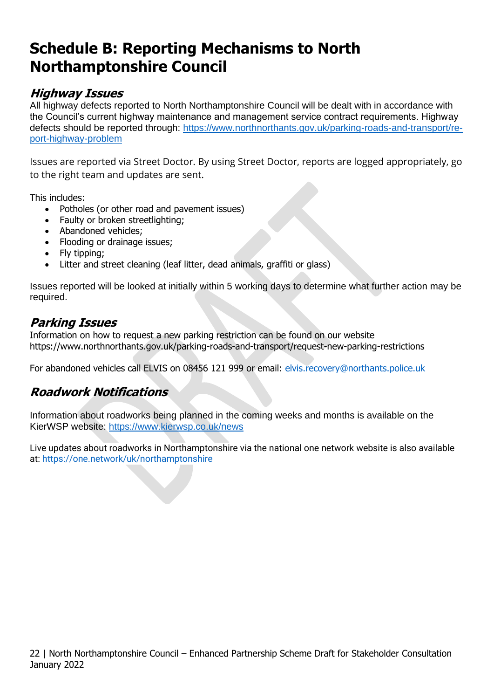## <span id="page-21-0"></span>**Schedule B: Reporting Mechanisms to North Northamptonshire Council**

### **Highway Issues**

All highway defects reported to North Northamptonshire Council will be dealt with in accordance with the Council's current highway maintenance and management service contract requirements. Highway defects should be reported through: [https://www.northnorthants.gov.uk/parking-roads-and-transport/re](https://www.northnorthants.gov.uk/parking-roads-and-transport/report-highway-problem)[port-highway-problem](https://www.northnorthants.gov.uk/parking-roads-and-transport/report-highway-problem)

Issues are reported via Street Doctor. By using Street Doctor, reports are logged appropriately, go to the right team and updates are sent.

This includes:

- Potholes (or other road and pavement issues)
- Faulty or broken streetlighting;
- Abandoned vehicles;
- Flooding or drainage issues:
- Fly tipping;
- Litter and street cleaning (leaf litter, dead animals, graffiti or glass)

Issues reported will be looked at initially within 5 working days to determine what further action may be required.

## **Parking Issues**

Information on how to request a new parking restriction can be found on our website https://www.northnorthants.gov.uk/parking-roads-and-transport/request-new-parking-restrictions

For abandoned vehicles call ELVIS on 08456 121 999 or email: [elvis.recovery@northants.police.uk](mailto:elvis.recovery@northants.police.uk)

## **Roadwork Notifications**

Information about roadworks being planned in the coming weeks and months is available on the KierWSP website:<https://www.kierwsp.co.uk/news>

Live updates about roadworks in Northamptonshire via the national one network website is also available at:<https://one.network/uk/northamptonshire>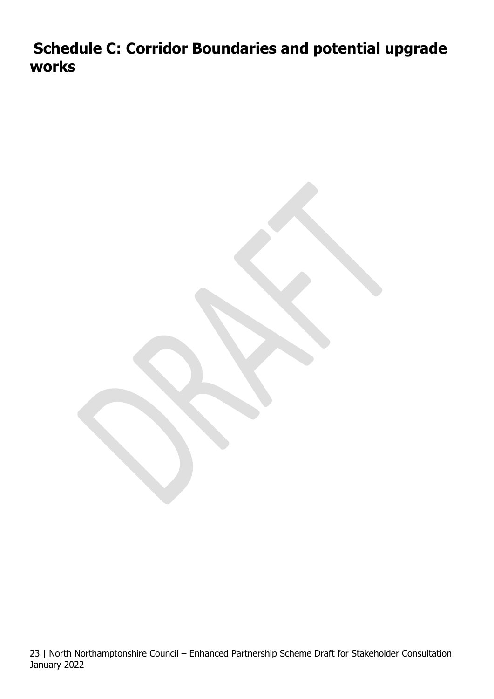<span id="page-22-0"></span>**Schedule C: Corridor Boundaries and potential upgrade works**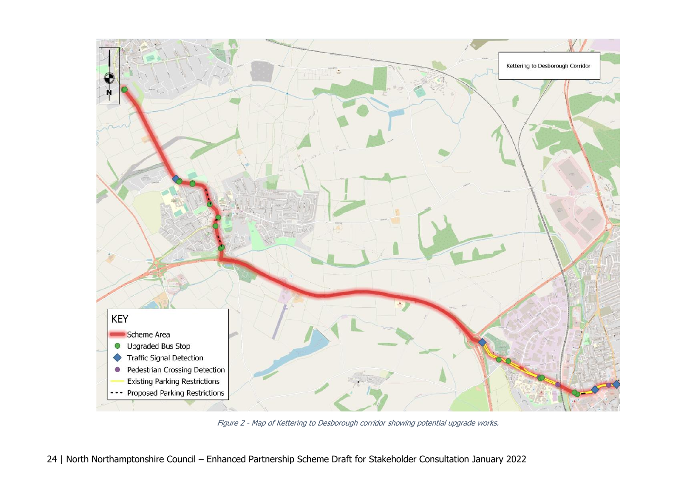![](_page_23_Figure_0.jpeg)

Figure 2 - Map of Kettering to Desborough corridor showing potential upgrade works.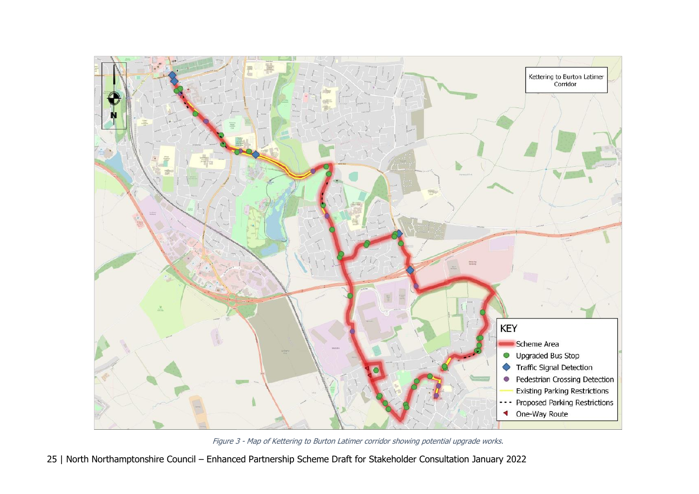![](_page_24_Figure_0.jpeg)

Figure 3 - Map of Kettering to Burton Latimer corridor showing potential upgrade works.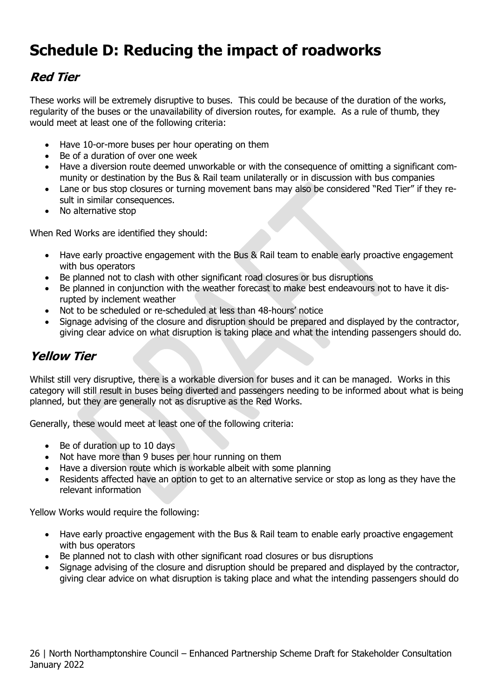## <span id="page-25-0"></span>**Schedule D: Reducing the impact of roadworks**

## **Red Tier**

These works will be extremely disruptive to buses. This could be because of the duration of the works, regularity of the buses or the unavailability of diversion routes, for example. As a rule of thumb, they would meet at least one of the following criteria:

- Have 10-or-more buses per hour operating on them
- Be of a duration of over one week
- Have a diversion route deemed unworkable or with the consequence of omitting a significant community or destination by the Bus & Rail team unilaterally or in discussion with bus companies
- Lane or bus stop closures or turning movement bans may also be considered "Red Tier" if they result in similar consequences.
- No alternative stop

When Red Works are identified they should:

- Have early proactive engagement with the Bus & Rail team to enable early proactive engagement with bus operators
- Be planned not to clash with other significant road closures or bus disruptions
- Be planned in conjunction with the weather forecast to make best endeavours not to have it disrupted by inclement weather
- Not to be scheduled or re-scheduled at less than 48-hours' notice
- Signage advising of the closure and disruption should be prepared and displayed by the contractor, giving clear advice on what disruption is taking place and what the intending passengers should do.

## **Yellow Tier**

Whilst still very disruptive, there is a workable diversion for buses and it can be managed. Works in this category will still result in buses being diverted and passengers needing to be informed about what is being planned, but they are generally not as disruptive as the Red Works.

Generally, these would meet at least one of the following criteria:

- Be of duration up to 10 days
- Not have more than 9 buses per hour running on them
- Have a diversion route which is workable albeit with some planning
- Residents affected have an option to get to an alternative service or stop as long as they have the relevant information

Yellow Works would require the following:

- Have early proactive engagement with the Bus & Rail team to enable early proactive engagement with bus operators
- Be planned not to clash with other significant road closures or bus disruptions
- Signage advising of the closure and disruption should be prepared and displayed by the contractor, giving clear advice on what disruption is taking place and what the intending passengers should do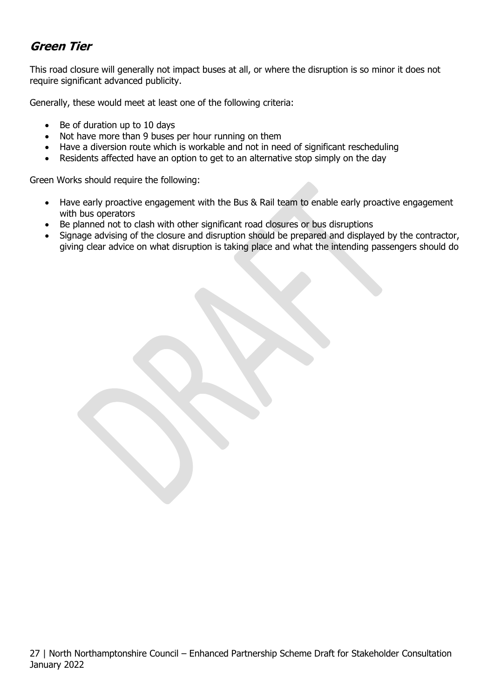## **Green Tier**

This road closure will generally not impact buses at all, or where the disruption is so minor it does not require significant advanced publicity.

Generally, these would meet at least one of the following criteria:

- Be of duration up to 10 days
- Not have more than 9 buses per hour running on them
- Have a diversion route which is workable and not in need of significant rescheduling
- Residents affected have an option to get to an alternative stop simply on the day

Green Works should require the following:

- Have early proactive engagement with the Bus & Rail team to enable early proactive engagement with bus operators
- Be planned not to clash with other significant road closures or bus disruptions
- Signage advising of the closure and disruption should be prepared and displayed by the contractor, giving clear advice on what disruption is taking place and what the intending passengers should do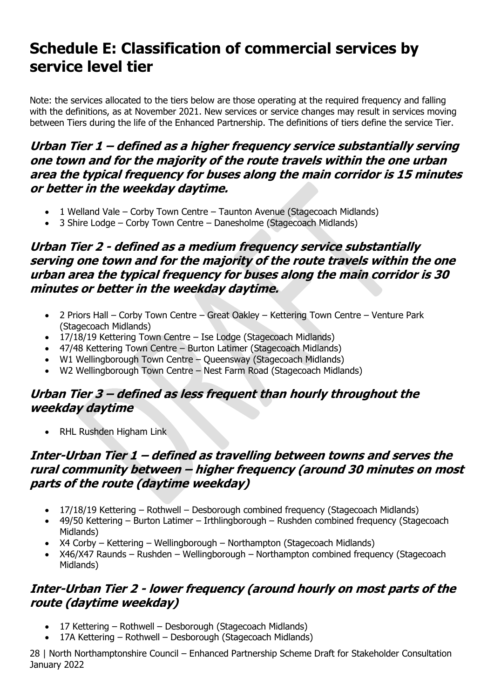## <span id="page-27-0"></span>**Schedule E: Classification of commercial services by service level tier**

Note: the services allocated to the tiers below are those operating at the required frequency and falling with the definitions, as at November 2021. New services or service changes may result in services moving between Tiers during the life of the Enhanced Partnership. The definitions of tiers define the service Tier.

#### **Urban Tier 1 – defined as a higher frequency service substantially serving one town and for the majority of the route travels within the one urban area the typical frequency for buses along the main corridor is 15 minutes or better in the weekday daytime.**

- 1 Welland Vale Corby Town Centre Taunton Avenue (Stagecoach Midlands)
- 3 Shire Lodge Corby Town Centre Danesholme (Stagecoach Midlands)

### **Urban Tier 2 - defined as a medium frequency service substantially serving one town and for the majority of the route travels within the one urban area the typical frequency for buses along the main corridor is 30 minutes or better in the weekday daytime.**

- 2 Priors Hall Corby Town Centre Great Oakley Kettering Town Centre Venture Park (Stagecoach Midlands)
- 17/18/19 Kettering Town Centre Ise Lodge (Stagecoach Midlands)
- 47/48 Kettering Town Centre Burton Latimer (Stagecoach Midlands)
- W1 Wellingborough Town Centre Queensway (Stagecoach Midlands)
- W2 Wellingborough Town Centre Nest Farm Road (Stagecoach Midlands)

#### **Urban Tier 3 – defined as less frequent than hourly throughout the weekday daytime**

• RHL Rushden Higham Link

## **Inter-Urban Tier 1 – defined as travelling between towns and serves the rural community between – higher frequency (around 30 minutes on most parts of the route (daytime weekday)**

- 17/18/19 Kettering Rothwell Desborough combined frequency (Stagecoach Midlands)
- 49/50 Kettering Burton Latimer Irthlingborough Rushden combined frequency (Stagecoach Midlands)
- X4 Corby Kettering Wellingborough Northampton (Stagecoach Midlands)
- X46/X47 Raunds Rushden Wellingborough Northampton combined frequency (Stagecoach Midlands)

## **Inter-Urban Tier 2 - lower frequency (around hourly on most parts of the route (daytime weekday)**

- 17 Kettering Rothwell Desborough (Stagecoach Midlands)
- 17A Kettering Rothwell Desborough (Stagecoach Midlands)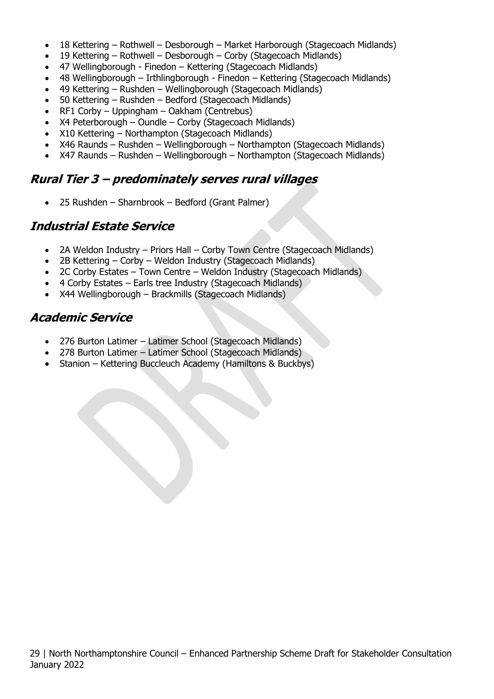- 18 Kettering Rothwell Desborough Market Harborough (Stagecoach Midlands)
- 19 Kettering Rothwell Desborough Corby (Stagecoach Midlands)
- 47 Wellingborough Finedon Kettering (Stagecoach Midlands)
- 48 Wellingborough Irthlingborough Finedon Kettering (Stagecoach Midlands)
- 49 Kettering Rushden Wellingborough (Stagecoach Midlands)
- 50 Kettering Rushden Bedford (Stagecoach Midlands)
- RF1 Corby Uppingham Oakham (Centrebus)
- X4 Peterborough Oundle Corby (Stagecoach Midlands)
- X10 Kettering Northampton (Stagecoach Midlands)
- X46 Raunds Rushden Wellingborough Northampton (Stagecoach Midlands)
- X47 Raunds Rushden Wellingborough Northampton (Stagecoach Midlands)

#### **Rural Tier 3 – predominately serves rural villages**

• 25 Rushden – Sharnbrook – Bedford (Grant Palmer)

#### **Industrial Estate Service**

- 2A Weldon Industry Priors Hall Corby Town Centre (Stagecoach Midlands)
- 2B Kettering Corby Weldon Industry (Stagecoach Midlands)
- 2C Corby Estates Town Centre Weldon Industry (Stagecoach Midlands)
- 4 Corby Estates Earls tree Industry (Stagecoach Midlands)
- X44 Wellingborough Brackmills (Stagecoach Midlands)

### **Academic Service**

- 276 Burton Latimer Latimer School (Stagecoach Midlands)
- 278 Burton Latimer Latimer School (Stagecoach Midlands)
- Stanion Kettering Buccleuch Academy (Hamiltons & Buckbys)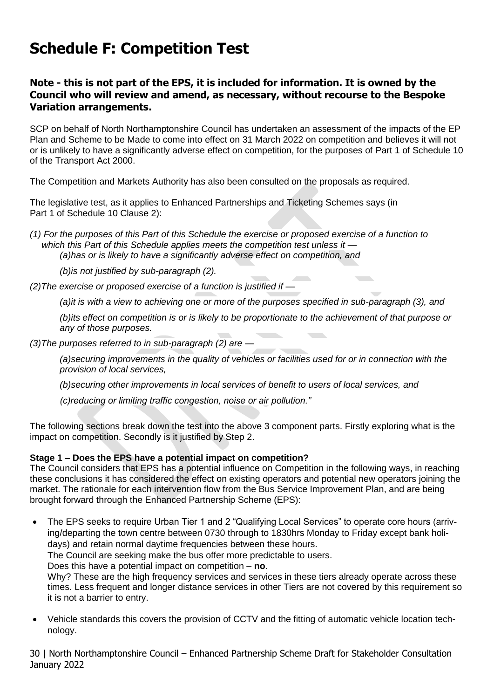# <span id="page-29-0"></span>**Schedule F: Competition Test**

#### **Note - this is not part of the EPS, it is included for information. It is owned by the Council who will review and amend, as necessary, without recourse to the Bespoke Variation arrangements.**

SCP on behalf of North Northamptonshire Council has undertaken an assessment of the impacts of the EP Plan and Scheme to be Made to come into effect on 31 March 2022 on competition and believes it will not or is unlikely to have a significantly adverse effect on competition, for the purposes of Part 1 of Schedule 10 of the Transport Act 2000.

The Competition and Markets Authority has also been consulted on the proposals as required.

The legislative test, as it applies to Enhanced Partnerships and Ticketing Schemes says (in Part 1 of Schedule 10 Clause 2):

*(1) For the purposes of this Part of this Schedule the exercise or proposed exercise of a function to which this Part of this Schedule applies meets the competition test unless it — (a)has or is likely to have a significantly adverse effect on competition, and*

*(b)is not justified by sub-paragraph (2).*

*(2)The exercise or proposed exercise of a function is justified if —*

*(a)it is with a view to achieving one or more of the purposes specified in sub-paragraph (3), and*

*(b)its effect on competition is or is likely to be proportionate to the achievement of that purpose or any of those purposes.*

*(3)The purposes referred to in sub-paragraph (2) are —*

*(a)securing improvements in the quality of vehicles or facilities used for or in connection with the provision of local services,*

*(b)securing other improvements in local services of benefit to users of local services, and*

*(c)reducing or limiting traffic congestion, noise or air pollution."*

The following sections break down the test into the above 3 component parts. Firstly exploring what is the impact on competition. Secondly is it justified by Step 2.

#### **Stage 1 – Does the EPS have a potential impact on competition?**

The Council considers that EPS has a potential influence on Competition in the following ways, in reaching these conclusions it has considered the effect on existing operators and potential new operators joining the market. The rationale for each intervention flow from the Bus Service Improvement Plan, and are being brought forward through the Enhanced Partnership Scheme (EPS):

- The EPS seeks to require Urban Tier 1 and 2 "Qualifying Local Services" to operate core hours (arriving/departing the town centre between 0730 through to 1830hrs Monday to Friday except bank holidays) and retain normal daytime frequencies between these hours. The Council are seeking make the bus offer more predictable to users. Does this have a potential impact on competition – **no**. Why? These are the high frequency services and services in these tiers already operate across these times. Less frequent and longer distance services in other Tiers are not covered by this requirement so it is not a barrier to entry.
- Vehicle standards this covers the provision of CCTV and the fitting of automatic vehicle location technology.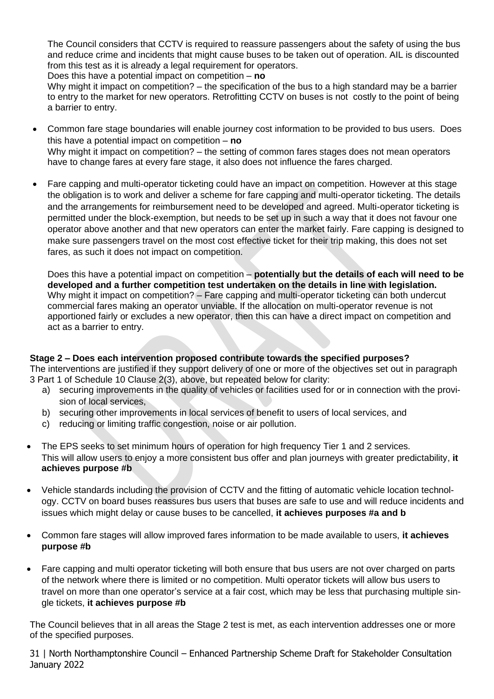The Council considers that CCTV is required to reassure passengers about the safety of using the bus and reduce crime and incidents that might cause buses to be taken out of operation. AIL is discounted from this test as it is already a legal requirement for operators.

Does this have a potential impact on competition – **no**

Why might it impact on competition? – the specification of the bus to a high standard may be a barrier to entry to the market for new operators. Retrofitting CCTV on buses is not costly to the point of being a barrier to entry.

- Common fare stage boundaries will enable journey cost information to be provided to bus users. Does this have a potential impact on competition – **no** Why might it impact on competition? – the setting of common fares stages does not mean operators have to change fares at every fare stage, it also does not influence the fares charged.
- Fare capping and multi-operator ticketing could have an impact on competition. However at this stage the obligation is to work and deliver a scheme for fare capping and multi-operator ticketing. The details and the arrangements for reimbursement need to be developed and agreed. Multi-operator ticketing is permitted under the block-exemption, but needs to be set up in such a way that it does not favour one operator above another and that new operators can enter the market fairly. Fare capping is designed to make sure passengers travel on the most cost effective ticket for their trip making, this does not set fares, as such it does not impact on competition.

Does this have a potential impact on competition – **potentially but the details of each will need to be developed and a further competition test undertaken on the details in line with legislation.** Why might it impact on competition? – Fare capping and multi-operator ticketing can both undercut commercial fares making an operator unviable. If the allocation on multi-operator revenue is not apportioned fairly or excludes a new operator, then this can have a direct impact on competition and act as a barrier to entry.

## **Stage 2 – Does each intervention proposed contribute towards the specified purposes?**

The interventions are justified if they support delivery of one or more of the objectives set out in paragraph 3 Part 1 of Schedule 10 Clause 2(3), above, but repeated below for clarity:

- a) securing improvements in the quality of vehicles or facilities used for or in connection with the provision of local services,
- b) securing other improvements in local services of benefit to users of local services, and
- c) reducing or limiting traffic congestion, noise or air pollution.
- The EPS seeks to set minimum hours of operation for high frequency Tier 1 and 2 services. This will allow users to enjoy a more consistent bus offer and plan journeys with greater predictability, **it achieves purpose #b**
- Vehicle standards including the provision of CCTV and the fitting of automatic vehicle location technology. CCTV on board buses reassures bus users that buses are safe to use and will reduce incidents and issues which might delay or cause buses to be cancelled, **it achieves purposes #a and b**
- Common fare stages will allow improved fares information to be made available to users, **it achieves purpose #b**
- Fare capping and multi operator ticketing will both ensure that bus users are not over charged on parts of the network where there is limited or no competition. Multi operator tickets will allow bus users to travel on more than one operator's service at a fair cost, which may be less that purchasing multiple single tickets, **it achieves purpose #b**

The Council believes that in all areas the Stage 2 test is met, as each intervention addresses one or more of the specified purposes.